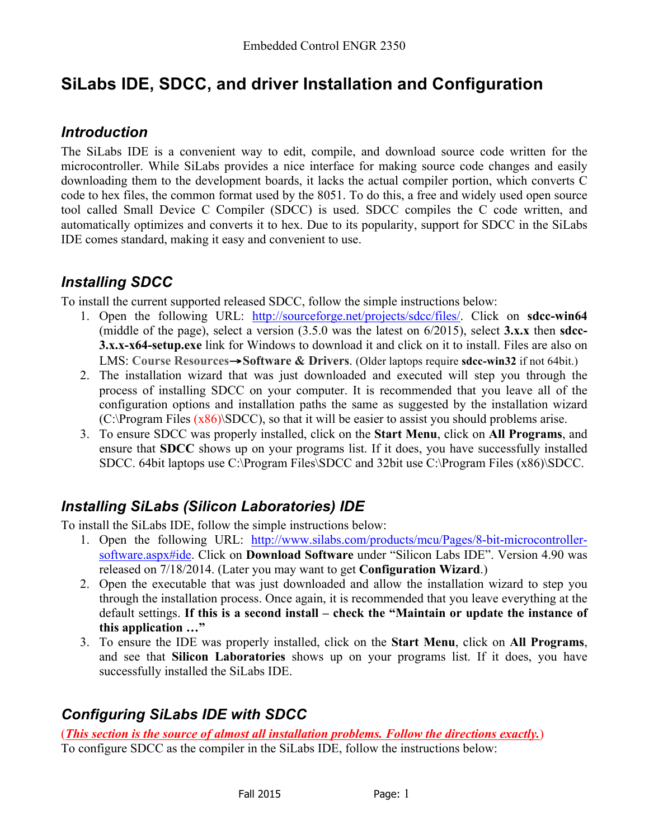# **SiLabs IDE, SDCC, and driver Installation and Configuration**

### *Introduction*

The SiLabs IDE is a convenient way to edit, compile, and download source code written for the microcontroller. While SiLabs provides a nice interface for making source code changes and easily downloading them to the development boards, it lacks the actual compiler portion, which converts C code to hex files, the common format used by the 8051. To do this, a free and widely used open source tool called Small Device C Compiler (SDCC) is used. SDCC compiles the C code written, and automatically optimizes and converts it to hex. Due to its popularity, support for SDCC in the SiLabs IDE comes standard, making it easy and convenient to use.

# *Installing SDCC*

To install the current supported released SDCC, follow the simple instructions below:

- 1. Open the following URL: http://sourceforge.net/projects/sdcc/files/. Click on **sdcc-win64** (middle of the page), select a version (3.5.0 was the latest on 6/2015), select **3.x.x** then **sdcc-3.x.x-x64-setup.exe** link for Windows to download it and click on it to install. Files are also on LMS: **Course Resources**→**Software & Drivers**. (Older laptops require **sdcc-win32** if not 64bit.)
- 2. The installation wizard that was just downloaded and executed will step you through the process of installing SDCC on your computer. It is recommended that you leave all of the configuration options and installation paths the same as suggested by the installation wizard  $(C:\Program Files (x86)\SDCC)$ , so that it will be easier to assist you should problems arise.
- 3. To ensure SDCC was properly installed, click on the **Start Menu**, click on **All Programs**, and ensure that **SDCC** shows up on your programs list. If it does, you have successfully installed SDCC. 64bit laptops use C:\Program Files\SDCC and 32bit use C:\Program Files (x86)\SDCC.

# *Installing SiLabs (Silicon Laboratories) IDE*

To install the SiLabs IDE, follow the simple instructions below:

- 1. Open the following URL: http://www.silabs.com/products/mcu/Pages/8-bit-microcontrollersoftware.aspx#ide. Click on **Download Software** under "Silicon Labs IDE". Version 4.90 was released on 7/18/2014. (Later you may want to get **Configuration Wizard**.)
- 2. Open the executable that was just downloaded and allow the installation wizard to step you through the installation process. Once again, it is recommended that you leave everything at the default settings. **If this is a second install – check the "Maintain or update the instance of this application …"**
- 3. To ensure the IDE was properly installed, click on the **Start Menu**, click on **All Programs**, and see that **Silicon Laboratories** shows up on your programs list. If it does, you have successfully installed the SiLabs IDE.

# *Configuring SiLabs IDE with SDCC*

(*This section is the source of almost all installation problems. Follow the directions exactly.*) To configure SDCC as the compiler in the SiLabs IDE, follow the instructions below: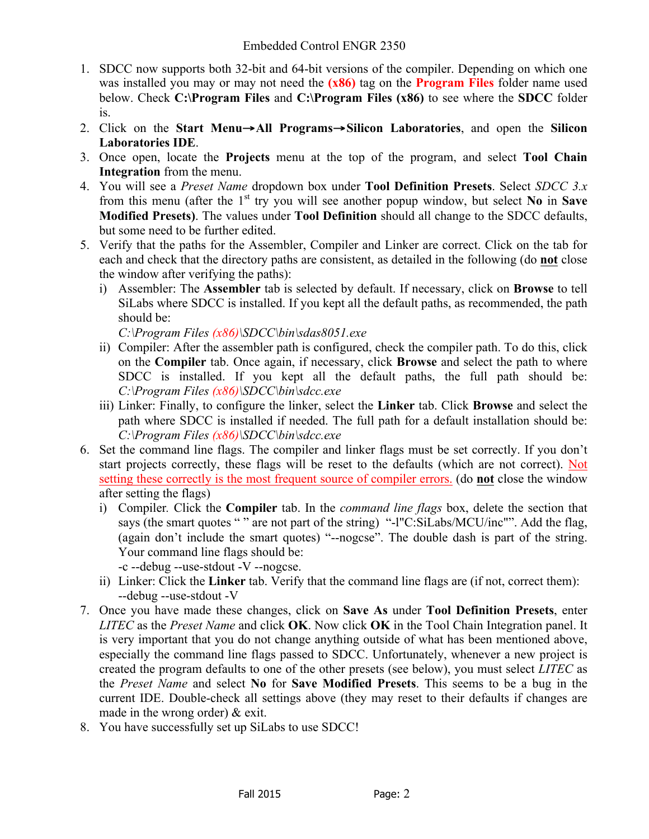- 1. SDCC now supports both 32-bit and 64-bit versions of the compiler. Depending on which one was installed you may or may not need the **(x86)** tag on the **Program Files** folder name used below. Check **C:\Program Files** and **C:\Program Files (x86)** to see where the **SDCC** folder is.
- 2. Click on the **Start Menu**→**All Programs**→**Silicon Laboratories**, and open the **Silicon Laboratories IDE**.
- 3. Once open, locate the **Projects** menu at the top of the program, and select **Tool Chain Integration** from the menu.
- 4. You will see a *Preset Name* dropdown box under **Tool Definition Presets**. Select *SDCC 3.x* from this menu (after the 1<sup>st</sup> try you will see another popup window, but select **No** in **Save Modified Presets)**. The values under **Tool Definition** should all change to the SDCC defaults, but some need to be further edited.
- 5. Verify that the paths for the Assembler, Compiler and Linker are correct. Click on the tab for each and check that the directory paths are consistent, as detailed in the following (do **not** close the window after verifying the paths):
	- i) Assembler: The **Assembler** tab is selected by default. If necessary, click on **Browse** to tell SiLabs where SDCC is installed. If you kept all the default paths, as recommended, the path should be:

*C:\Program Files (x86)\SDCC\bin\sdas8051.exe*

- ii) Compiler: After the assembler path is configured, check the compiler path. To do this, click on the **Compiler** tab. Once again, if necessary, click **Browse** and select the path to where SDCC is installed. If you kept all the default paths, the full path should be: *C:\Program Files (x86)\SDCC\bin\sdcc.exe*
- iii) Linker: Finally, to configure the linker, select the **Linker** tab. Click **Browse** and select the path where SDCC is installed if needed. The full path for a default installation should be: *C:\Program Files (x86)\SDCC\bin\sdcc.exe*
- 6. Set the command line flags. The compiler and linker flags must be set correctly. If you don't start projects correctly, these flags will be reset to the defaults (which are not correct). Not setting these correctly is the most frequent source of compiler errors. (do **not** close the window after setting the flags)
	- i) Compiler*.* Click the **Compiler** tab. In the *command line flags* box, delete the section that says (the smart quotes " " are not part of the string) "-l"C:SiLabs/MCU/inc"". Add the flag, (again don't include the smart quotes) "--nogcse". The double dash is part of the string. Your command line flags should be:
		- -c --debug --use-stdout -V --nogcse.
	- ii) Linker: Click the **Linker** tab. Verify that the command line flags are (if not, correct them): --debug --use-stdout -V
- 7. Once you have made these changes, click on **Save As** under **Tool Definition Presets**, enter *LITEC* as the *Preset Name* and click **OK**. Now click **OK** in the Tool Chain Integration panel. It is very important that you do not change anything outside of what has been mentioned above, especially the command line flags passed to SDCC. Unfortunately, whenever a new project is created the program defaults to one of the other presets (see below), you must select *LITEC* as the *Preset Name* and select **No** for **Save Modified Presets**. This seems to be a bug in the current IDE. Double-check all settings above (they may reset to their defaults if changes are made in the wrong order) & exit.
- 8. You have successfully set up SiLabs to use SDCC!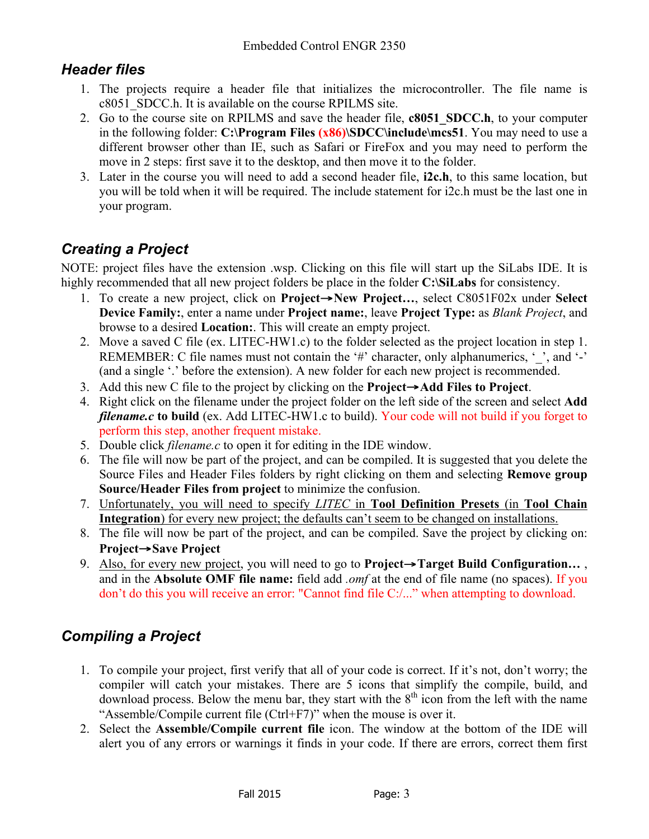## *Header files*

- 1. The projects require a header file that initializes the microcontroller. The file name is c8051\_SDCC.h. It is available on the course RPILMS site.
- 2. Go to the course site on RPILMS and save the header file, **c8051\_SDCC.h**, to your computer in the following folder: **C:\Program Files (x86)\SDCC\include\mcs51**. You may need to use a different browser other than IE, such as Safari or FireFox and you may need to perform the move in 2 steps: first save it to the desktop, and then move it to the folder.
- 3. Later in the course you will need to add a second header file, **i2c.h**, to this same location, but you will be told when it will be required. The include statement for i2c.h must be the last one in your program.

# *Creating a Project*

NOTE: project files have the extension .wsp. Clicking on this file will start up the SiLabs IDE. It is highly recommended that all new project folders be place in the folder **C:\SiLabs** for consistency.

- 1. To create a new project, click on **Project**→**New Project…**, select C8051F02x under **Select Device Family:**, enter a name under **Project name:**, leave **Project Type:** as *Blank Project*, and browse to a desired **Location:**. This will create an empty project.
- 2. Move a saved C file (ex. LITEC-HW1.c) to the folder selected as the project location in step 1. REMEMBER: C file names must not contain the '#' character, only alphanumerics, ', and '-' (and a single '.' before the extension). A new folder for each new project is recommended.
- 3. Add this new C file to the project by clicking on the **Project**→**Add Files to Project**.
- 4. Right click on the filename under the project folder on the left side of the screen and select **Add**  *filename.c* **to build** (ex. Add LITEC-HW1.c to build). Your code will not build if you forget to perform this step, another frequent mistake.
- 5. Double click *filename.c* to open it for editing in the IDE window.
- 6. The file will now be part of the project, and can be compiled. It is suggested that you delete the Source Files and Header Files folders by right clicking on them and selecting **Remove group Source/Header Files from project** to minimize the confusion.
- 7. Unfortunately, you will need to specify *LITEC* in **Tool Definition Presets** (in **Tool Chain Integration**) for every new project; the defaults can't seem to be changed on installations.
- 8. The file will now be part of the project, and can be compiled. Save the project by clicking on: **Project**→**Save Project**
- 9. Also, for every new project, you will need to go to **Project→Target Build Configuration...**, and in the **Absolute OMF file name:** field add *.omf* at the end of file name (no spaces). If you don't do this you will receive an error: "Cannot find file C:/..." when attempting to download.

# *Compiling a Project*

- 1. To compile your project, first verify that all of your code is correct. If it's not, don't worry; the compiler will catch your mistakes. There are 5 icons that simplify the compile, build, and download process. Below the menu bar, they start with the  $8<sup>th</sup>$  icon from the left with the name "Assemble/Compile current file (Ctrl+F7)" when the mouse is over it.
- 2. Select the **Assemble/Compile current file** icon. The window at the bottom of the IDE will alert you of any errors or warnings it finds in your code. If there are errors, correct them first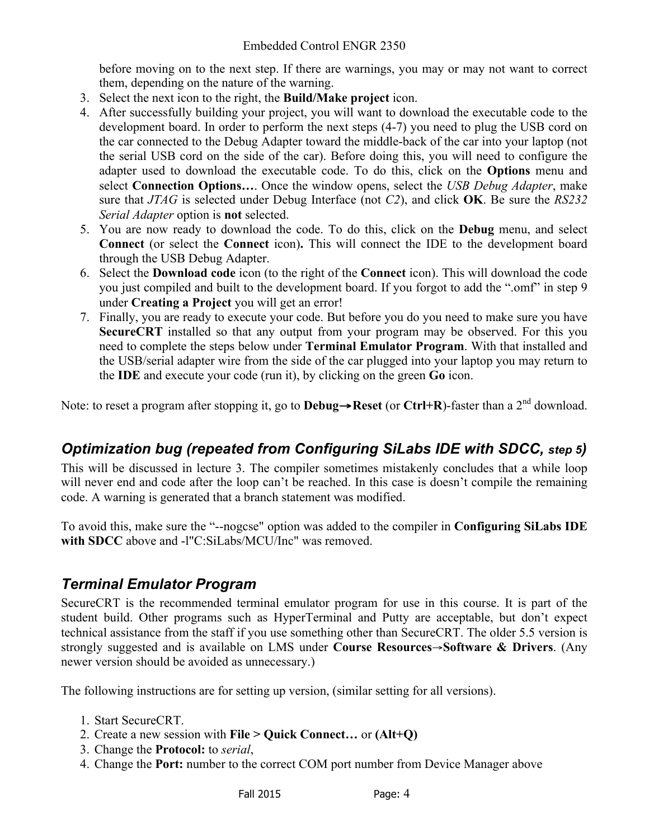before moving on to the next step. If there are warnings, you may or may not want to correct them, depending on the nature of the warning.

- 3. Select the next icon to the right, the **Build/Make project** icon.
- 4. After successfully building your project, you will want to download the executable code to the development board. In order to perform the next steps (4-7) you need to plug the USB cord on the car connected to the Debug Adapter toward the middle-back of the car into your laptop (not the serial USB cord on the side of the car). Before doing this, you will need to configure the adapter used to download the executable code. To do this, click on the **Options** menu and select **Connection Options…**. Once the window opens, select the *USB Debug Adapter*, make sure that *JTAG* is selected under Debug Interface (not *C2*), and click **OK**. Be sure the *RS232 Serial Adapter* option is **not** selected.
- 5. You are now ready to download the code. To do this, click on the **Debug** menu, and select **Connect** (or select the **Connect** icon)**.** This will connect the IDE to the development board through the USB Debug Adapter.
- 6. Select the **Download code** icon (to the right of the **Connect** icon). This will download the code you just compiled and built to the development board. If you forgot to add the ".omf" in step 9 under **Creating a Project** you will get an error!
- 7. Finally, you are ready to execute your code. But before you do you need to make sure you have **SecureCRT** installed so that any output from your program may be observed. For this you need to complete the steps below under **Terminal Emulator Program**. With that installed and the USB/serial adapter wire from the side of the car plugged into your laptop you may return to the **IDE** and execute your code (run it), by clicking on the green **Go** icon.

Note: to reset a program after stopping it, go to **Debug**→**Reset** (or **Ctrl+R**)-faster than a 2nd download.

# *Optimization bug (repeated from Configuring SiLabs IDE with SDCC, step 5)*

This will be discussed in lecture 3. The compiler sometimes mistakenly concludes that a while loop will never end and code after the loop can't be reached. In this case is doesn't compile the remaining code. A warning is generated that a branch statement was modified.

To avoid this, make sure the "--nogcse" option was added to the compiler in **Configuring SiLabs IDE with SDCC** above and -l"C:SiLabs/MCU/Inc" was removed.

### *Terminal Emulator Program*

SecureCRT is the recommended terminal emulator program for use in this course. It is part of the student build. Other programs such as HyperTerminal and Putty are acceptable, but don't expect technical assistance from the staff if you use something other than SecureCRT. The older 5.5 version is strongly suggested and is available on LMS under **Course Resources**→**Software & Drivers**. (Any newer version should be avoided as unnecessary.)

The following instructions are for setting up version, (similar setting for all versions).

- 1. Start SecureCRT.
- 2. Create a new session with **File > Quick Connect…** or **(Alt+Q)**
- 3. Change the **Protocol:** to *serial*,
- 4. Change the **Port:** number to the correct COM port number from Device Manager above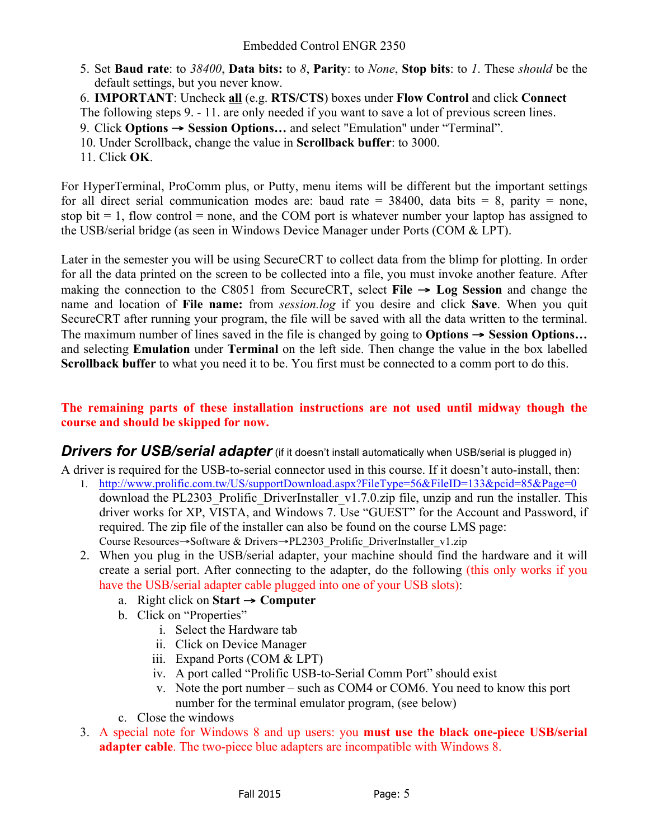- 5. Set **Baud rate**: to *38400*, **Data bits:** to *8*, **Parity**: to *None*, **Stop bits**: to *1*. These *should* be the default settings, but you never know.
- 6. **IMPORTANT**: Uncheck **all** (e.g. **RTS/CTS**) boxes under **Flow Control** and click **Connect**
- The following steps 9. 11. are only needed if you want to save a lot of previous screen lines.
- 9. Click **Options** → **Session Options…** and select "Emulation" under "Terminal".
- 10. Under Scrollback, change the value in **Scrollback buffer**: to 3000.
- 11. Click **OK**.

For HyperTerminal, ProComm plus, or Putty, menu items will be different but the important settings for all direct serial communication modes are: baud rate =  $38400$ , data bits = 8, parity = none, stop bit  $= 1$ , flow control  $=$  none, and the COM port is whatever number your laptop has assigned to the USB/serial bridge (as seen in Windows Device Manager under Ports (COM & LPT).

Later in the semester you will be using SecureCRT to collect data from the blimp for plotting. In order for all the data printed on the screen to be collected into a file, you must invoke another feature. After making the connection to the C8051 from SecureCRT, select **File** → **Log Session** and change the name and location of **File name:** from *session.log* if you desire and click **Save**. When you quit SecureCRT after running your program, the file will be saved with all the data written to the terminal. The maximum number of lines saved in the file is changed by going to **Options** → **Session Options…** and selecting **Emulation** under **Terminal** on the left side. Then change the value in the box labelled **Scrollback buffer** to what you need it to be. You first must be connected to a comm port to do this.

#### **The remaining parts of these installation instructions are not used until midway though the course and should be skipped for now.**

**Drivers for USB/serial adapter** (if it doesn't install automatically when USB/serial is plugged in)

A driver is required for the USB-to-serial connector used in this course. If it doesn't auto-install, then:

- 1. http://www.prolific.com.tw/US/supportDownload.aspx?FileType=56&FileID=133&pcid=85&Page=0 download the PL2303 Prolific DriverInstaller v1.7.0.zip file, unzip and run the installer. This driver works for XP, VISTA, and Windows 7. Use "GUEST" for the Account and Password, if required. The zip file of the installer can also be found on the course LMS page: Course Resources→Software & Drivers→PL2303\_Prolific\_DriverInstaller\_v1.zip
- 2. When you plug in the USB/serial adapter, your machine should find the hardware and it will create a serial port. After connecting to the adapter, do the following (this only works if you have the USB/serial adapter cable plugged into one of your USB slots):
	- a. Right click on **Start**  $\rightarrow$  **Computer**
	- b. Click on "Properties"
		- i. Select the Hardware tab
		- ii. Click on Device Manager
		- iii. Expand Ports (COM & LPT)
		- iv. A port called "Prolific USB-to-Serial Comm Port" should exist
		- v. Note the port number such as COM4 or COM6. You need to know this port number for the terminal emulator program, (see below)
	- c. Close the windows
- 3. A special note for Windows 8 and up users: you **must use the black one-piece USB/serial adapter cable**. The two-piece blue adapters are incompatible with Windows 8.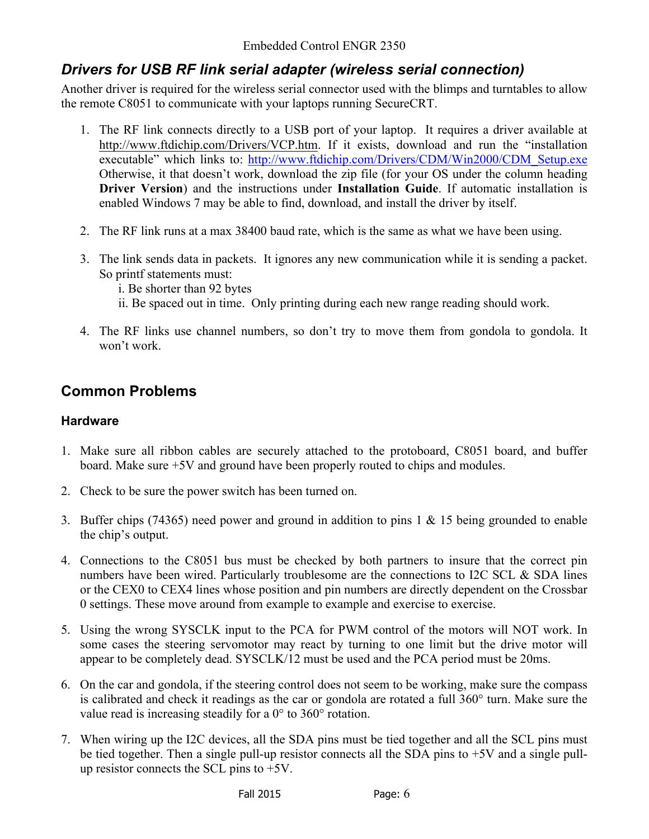## *Drivers for USB RF link serial adapter (wireless serial connection)*

Another driver is required for the wireless serial connector used with the blimps and turntables to allow the remote C8051 to communicate with your laptops running SecureCRT.

- 1. The RF link connects directly to a USB port of your laptop. It requires a driver available at http://www.ftdichip.com/Drivers/VCP.htm. If it exists, download and run the "installation executable" which links to: http://www.ftdichip.com/Drivers/CDM/Win2000/CDM\_Setup.exe Otherwise, it that doesn't work, download the zip file (for your OS under the column heading **Driver Version**) and the instructions under **Installation Guide**. If automatic installation is enabled Windows 7 may be able to find, download, and install the driver by itself.
- 2. The RF link runs at a max 38400 baud rate, which is the same as what we have been using.
- 3. The link sends data in packets. It ignores any new communication while it is sending a packet. So printf statements must:
	- i. Be shorter than 92 bytes
	- ii. Be spaced out in time. Only printing during each new range reading should work.
- 4. The RF links use channel numbers, so don't try to move them from gondola to gondola. It won't work.

#### **Common Problems**

#### **Hardware**

- 1. Make sure all ribbon cables are securely attached to the protoboard, C8051 board, and buffer board. Make sure +5V and ground have been properly routed to chips and modules.
- 2. Check to be sure the power switch has been turned on.
- 3. Buffer chips (74365) need power and ground in addition to pins 1 & 15 being grounded to enable the chip's output.
- 4. Connections to the C8051 bus must be checked by both partners to insure that the correct pin numbers have been wired. Particularly troublesome are the connections to I2C SCL & SDA lines or the CEX0 to CEX4 lines whose position and pin numbers are directly dependent on the Crossbar 0 settings. These move around from example to example and exercise to exercise.
- 5. Using the wrong SYSCLK input to the PCA for PWM control of the motors will NOT work. In some cases the steering servomotor may react by turning to one limit but the drive motor will appear to be completely dead. SYSCLK/12 must be used and the PCA period must be 20ms.
- 6. On the car and gondola, if the steering control does not seem to be working, make sure the compass is calibrated and check it readings as the car or gondola are rotated a full 360° turn. Make sure the value read is increasing steadily for a 0° to 360° rotation.
- 7. When wiring up the I2C devices, all the SDA pins must be tied together and all the SCL pins must be tied together. Then a single pull-up resistor connects all the SDA pins to +5V and a single pullup resistor connects the SCL pins to +5V.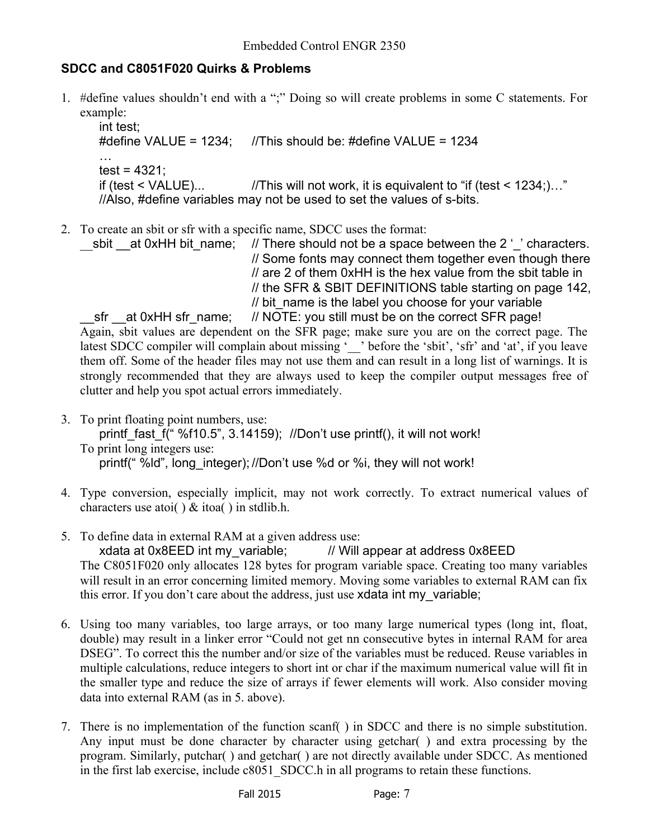#### **SDCC and C8051F020 Quirks & Problems**

1. #define values shouldn't end with a ";" Doing so will create problems in some C statements. For example:

int test; #define VALUE = 1234; //This should be: #define VALUE = 1234 …  $test = 4321$ : if (test  $\le$  VALUE)... //This will not work, it is equivalent to "if (test  $\le$  1234;)..." //Also, #define variables may not be used to set the values of s-bits.

2. To create an sbit or sfr with a specific name, SDCC uses the format:

sbit at 0xHH bit name;  $\frac{1}{2}$  There should not be a space between the 2 ' ' characters. // Some fonts may connect them together even though there // are 2 of them 0xHH is the hex value from the sbit table in // the SFR & SBIT DEFINITIONS table starting on page 142, // bit\_name is the label you choose for your variable

\_\_sfr \_\_at 0xHH sfr\_name; // NOTE: you still must be on the correct SFR page! Again, sbit values are dependent on the SFR page; make sure you are on the correct page. The latest SDCC compiler will complain about missing '\_\_' before the 'sbit', 'sfr' and 'at', if you leave them off. Some of the header files may not use them and can result in a long list of warnings. It is strongly recommended that they are always used to keep the compiler output messages free of clutter and help you spot actual errors immediately.

- 3. To print floating point numbers, use: printf fast f(" %f10.5", 3.14159); //Don't use printf(), it will not work! To print long integers use: printf(" %ld", long integer); //Don't use %d or %i, they will not work!
- 4. Type conversion, especially implicit, may not work correctly. To extract numerical values of characters use atoi( )  $& itoa()$  in stdlib.h.
- 5. To define data in external RAM at a given address use:

xdata at 0x8EED int my\_variable; *//* Will appear at address 0x8EED The C8051F020 only allocates 128 bytes for program variable space. Creating too many variables will result in an error concerning limited memory. Moving some variables to external RAM can fix this error. If you don't care about the address, just use xdata int my variable;

- 6. Using too many variables, too large arrays, or too many large numerical types (long int, float, double) may result in a linker error "Could not get nn consecutive bytes in internal RAM for area DSEG". To correct this the number and/or size of the variables must be reduced. Reuse variables in multiple calculations, reduce integers to short int or char if the maximum numerical value will fit in the smaller type and reduce the size of arrays if fewer elements will work. Also consider moving data into external RAM (as in 5. above).
- 7. There is no implementation of the function scanf( ) in SDCC and there is no simple substitution. Any input must be done character by character using getchar( ) and extra processing by the program. Similarly, putchar( ) and getchar( ) are not directly available under SDCC. As mentioned in the first lab exercise, include c8051 SDCC.h in all programs to retain these functions.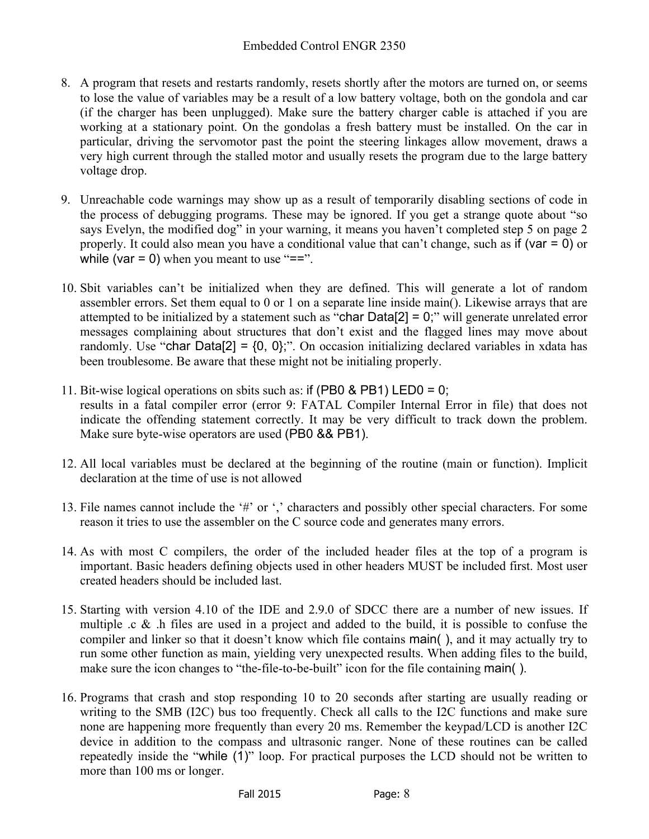- 8. A program that resets and restarts randomly, resets shortly after the motors are turned on, or seems to lose the value of variables may be a result of a low battery voltage, both on the gondola and car (if the charger has been unplugged). Make sure the battery charger cable is attached if you are working at a stationary point. On the gondolas a fresh battery must be installed. On the car in particular, driving the servomotor past the point the steering linkages allow movement, draws a very high current through the stalled motor and usually resets the program due to the large battery voltage drop.
- 9. Unreachable code warnings may show up as a result of temporarily disabling sections of code in the process of debugging programs. These may be ignored. If you get a strange quote about "so says Evelyn, the modified dog" in your warning, it means you haven't completed step 5 on page 2 properly. It could also mean you have a conditional value that can't change, such as if (var  $= 0$ ) or while (var  $= 0$ ) when you meant to use " $=$ =".
- 10. Sbit variables can't be initialized when they are defined. This will generate a lot of random assembler errors. Set them equal to 0 or 1 on a separate line inside main(). Likewise arrays that are attempted to be initialized by a statement such as "char Data[2] = 0;" will generate unrelated error messages complaining about structures that don't exist and the flagged lines may move about randomly. Use "char Data[2] =  $\{0, 0\}$ ,". On occasion initializing declared variables in xdata has been troublesome. Be aware that these might not be initialing properly.
- 11. Bit-wise logical operations on sbits such as: if (PB0 & PB1) LED0 = 0; results in a fatal compiler error (error 9: FATAL Compiler Internal Error in file) that does not indicate the offending statement correctly. It may be very difficult to track down the problem. Make sure byte-wise operators are used (PB0 && PB1).
- 12. All local variables must be declared at the beginning of the routine (main or function). Implicit declaration at the time of use is not allowed
- 13. File names cannot include the '#' or ',' characters and possibly other special characters. For some reason it tries to use the assembler on the C source code and generates many errors.
- 14. As with most C compilers, the order of the included header files at the top of a program is important. Basic headers defining objects used in other headers MUST be included first. Most user created headers should be included last.
- 15. Starting with version 4.10 of the IDE and 2.9.0 of SDCC there are a number of new issues. If multiple .c & .h files are used in a project and added to the build, it is possible to confuse the compiler and linker so that it doesn't know which file contains main( ), and it may actually try to run some other function as main, yielding very unexpected results. When adding files to the build, make sure the icon changes to "the-file-to-be-built" icon for the file containing main().
- 16. Programs that crash and stop responding 10 to 20 seconds after starting are usually reading or writing to the SMB (I2C) bus too frequently. Check all calls to the I2C functions and make sure none are happening more frequently than every 20 ms. Remember the keypad/LCD is another I2C device in addition to the compass and ultrasonic ranger. None of these routines can be called repeatedly inside the "while (1)" loop. For practical purposes the LCD should not be written to more than 100 ms or longer.